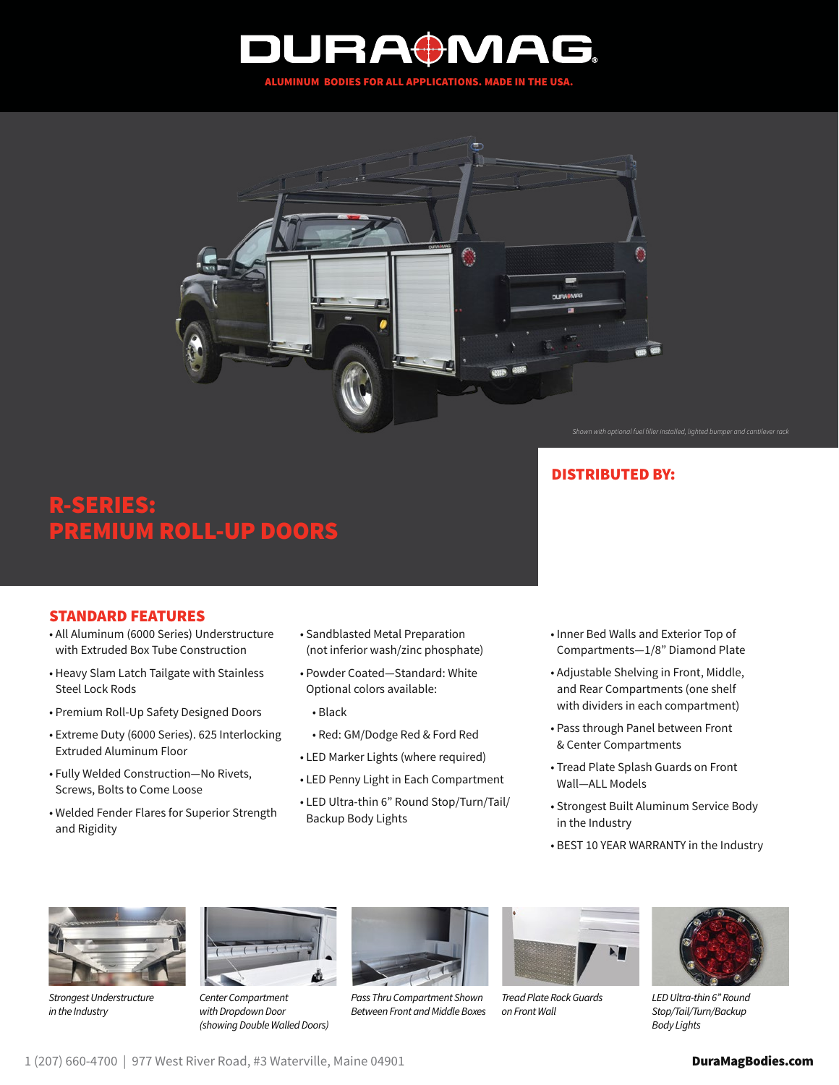



*Shown with optional fuel filler installed, lighted bumper and cantilever rack*

# R-SERIES: REMIUM ROLL-UP DOORS

## STANDARD FEATURES

- All Aluminum (6000 Series) Understructure with Extruded Box Tube Construction
- Heavy Slam Latch Tailgate with Stainless Steel Lock Rods
- Premium Roll-Up Safety Designed Doors
- Extreme Duty (6000 Series). 625 Interlocking Extruded Aluminum Floor
- Fully Welded Construction—No Rivets, Screws, Bolts to Come Loose
- Welded Fender Flares for Superior Strength and Rigidity
- Sandblasted Metal Preparation (not inferior wash/zinc phosphate)
- Powder Coated—Standard: White Optional colors available:
	- Black
	- Red: GM/Dodge Red & Ford Red
- LED Marker Lights (where required)
- LED Penny Light in Each Compartment
- LED Ultra-thin 6" Round Stop/Turn/Tail/ Backup Body Lights

• Inner Bed Walls and Exterior Top of Compartments—1/8" Diamond Plate

DISTRIBUTED BY:

- Adjustable Shelving in Front, Middle, and Rear Compartments (one shelf with dividers in each compartment)
- Pass through Panel between Front & Center Compartments
- Tread Plate Splash Guards on Front Wall—ALL Models
- Strongest Built Aluminum Service Body in the Industry
- BEST 10 YEAR WARRANTY in the Industry



*Strongest Understructure in the Industry*



*Center Compartment with Dropdown Door (showing Double Walled Doors)*



*Pass Thru Compartment Shown Between Front and Middle Boxes*



*Tread Plate Rock Guards on Front Wall* 



*LED Ultra-thin 6" Round Stop/Tail/Turn/Backup Body Lights*